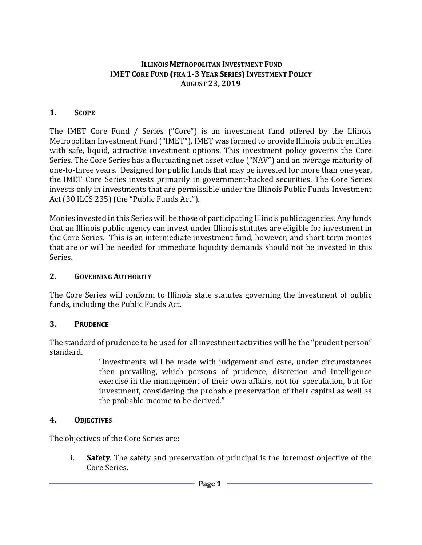#### **ILLINOIS METROPOLITAN INVESTMENT FUND IMET CORE FUND (FKA 1-3 YEAR SERIES) INVESTMENT POLICY AUGUST 23, 2019**

#### **1. SCOPE**

The IMET Core Fund / Series ("Core") is an investment fund offered by the Illinois Metropolitan Investment Fund ("IMET"). IMET was formed to provide Illinois public entities with safe, liquid, attractive investment options. This investment policy governs the Core Series. The Core Series has a fluctuating net asset value ("NAV") and an average maturity of one-to-three years. Designed for public funds that may be invested for more than one year, the IMET Core Series invests primarily in government-backed securities. The Core Series invests only in investments that are permissible under the Illinois Public Funds Investment Act (30 ILCS 235) (the "Public Funds Act").

Monies invested in this Series will be those of participating Illinois public agencies. Any funds that an Illinois public agency can invest under Illinois statutes are eligible for investment in the Core Series. This is an intermediate investment fund, however, and short-term monies that are or will be needed for immediate liquidity demands should not be invested in this Series.

#### **2. GOVERNING AUTHORITY**

The Core Series will conform to Illinois state statutes governing the investment of public funds, including the Public Funds Act.

#### **3. PRUDENCE**

The standard of prudence to be used for all investment activities will be the "prudent person" standard.

"Investments will be made with judgement and care, under circumstances then prevailing, which persons of prudence, discretion and intelligence exercise in the management of their own affairs, not for speculation, but for investment, considering the probable preservation of their capital as well as the probable income to be derived."

#### **4. OBJECTIVES**

The objectives of the Core Series are:

i. **Safety**. The safety and preservation of principal is the foremost objective of the Core Series.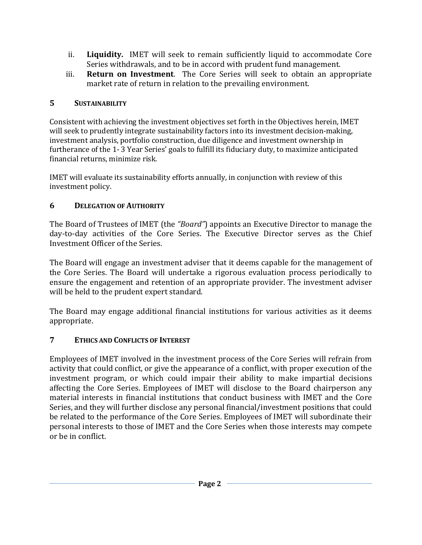- ii. **Liquidity.** IMET will seek to remain sufficiently liquid to accommodate Core Series withdrawals, and to be in accord with prudent fund management.
- iii. **Return on Investment**. The Core Series will seek to obtain an appropriate market rate of return in relation to the prevailing environment.

#### **5 SUSTAINABILITY**

Consistent with achieving the investment objectives set forth in the Objectives herein, IMET will seek to prudently integrate sustainability factors into its investment decision-making, investment analysis, portfolio construction, due diligence and investment ownership in furtherance of the 1- 3 Year Series' goals to fulfill its fiduciary duty, to maximize anticipated financial returns, minimize risk.

IMET will evaluate its sustainability efforts annually, in conjunction with review of this investment policy.

# **6 DELEGATION OF AUTHORITY**

The Board of Trustees of IMET (the *"Board"*) appoints an Executive Director to manage the day-to-day activities of the Core Series. The Executive Director serves as the Chief Investment Officer of the Series.

The Board will engage an investment adviser that it deems capable for the management of the Core Series. The Board will undertake a rigorous evaluation process periodically to ensure the engagement and retention of an appropriate provider. The investment adviser will be held to the prudent expert standard.

The Board may engage additional financial institutions for various activities as it deems appropriate.

# **7 ETHICS AND CONFLICTS OF INTEREST**

Employees of IMET involved in the investment process of the Core Series will refrain from activity that could conflict, or give the appearance of a conflict, with proper execution of the investment program, or which could impair their ability to make impartial decisions affecting the Core Series. Employees of IMET will disclose to the Board chairperson any material interests in financial institutions that conduct business with IMET and the Core Series, and they will further disclose any personal financial/investment positions that could be related to the performance of the Core Series. Employees of IMET will subordinate their personal interests to those of IMET and the Core Series when those interests may compete or be in conflict.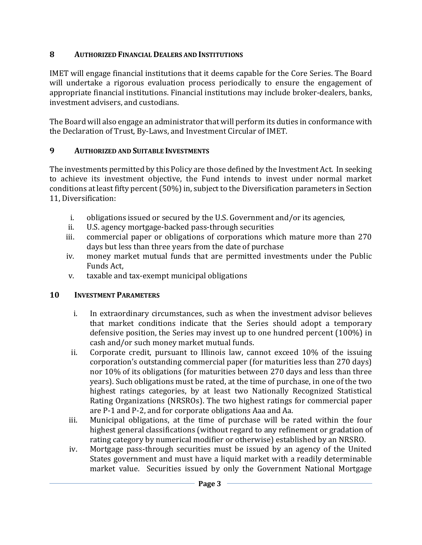#### **8 AUTHORIZED FINANCIAL DEALERS AND INSTITUTIONS**

IMET will engage financial institutions that it deems capable for the Core Series. The Board will undertake a rigorous evaluation process periodically to ensure the engagement of appropriate financial institutions. Financial institutions may include broker-dealers, banks, investment advisers, and custodians.

The Board will also engage an administrator that will perform its duties in conformance with the Declaration of Trust, By-Laws, and Investment Circular of IMET.

# **9 AUTHORIZED AND SUITABLE INVESTMENTS**

The investments permitted by this Policy are those defined by the Investment Act. In seeking to achieve its investment objective, the Fund intends to invest under normal market conditions at least fifty percent (50%) in, subject to the Diversification parameters in Section 11, Diversification:

- i. obligations issued or secured by the U.S. Government and/or its agencies, ii. U.S. agency mortgage-backed pass-through securities
- ii. U.S. agency mortgage-backed pass-through securities<br>iii. commercial paper or obligations of corporations wh
- commercial paper or obligations of corporations which mature more than 270 days but less than three years from the date of purchase
- iv. money market mutual funds that are permitted investments under the Public Funds Act,
- v. taxable and tax-exempt municipal obligations

# **10 INVESTMENT PARAMETERS**

- i. In extraordinary circumstances, such as when the investment advisor believes that market conditions indicate that the Series should adopt a temporary defensive position, the Series may invest up to one hundred percent (100%) in cash and/or such money market mutual funds.
- ii. Corporate credit, pursuant to Illinois law, cannot exceed 10% of the issuing corporation's outstanding commercial paper (for maturities less than 270 days) nor 10% of its obligations (for maturities between 270 days and less than three years). Such obligations must be rated, at the time of purchase, in one of the two highest ratings categories, by at least two Nationally Recognized Statistical Rating Organizations (NRSROs). The two highest ratings for commercial paper are P-1 and P-2, and for corporate obligations Aaa and Aa.
- iii. Municipal obligations, at the time of purchase will be rated within the four highest general classifications (without regard to any refinement or gradation of rating category by numerical modifier or otherwise) established by an NRSRO.
- iv. Mortgage pass-through securities must be issued by an agency of the United States government and must have a liquid market with a readily determinable market value. Securities issued by only the Government National Mortgage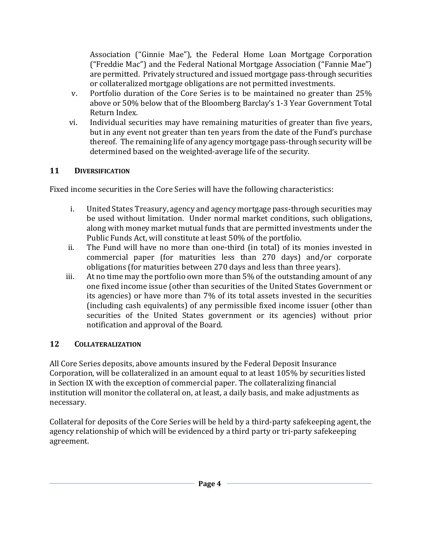Association ("Ginnie Mae"), the Federal Home Loan Mortgage Corporation ("Freddie Mac") and the Federal National Mortgage Association ("Fannie Mae") are permitted. Privately structured and issued mortgage pass-through securities or collateralized mortgage obligations are not permitted investments.

- v. Portfolio duration of the Core Series is to be maintained no greater than 25% above or 50% below that of the Bloomberg Barclay's 1-3 Year Government Total Return Index.
- vi. Individual securities may have remaining maturities of greater than five years, but in any event not greater than ten years from the date of the Fund's purchase thereof. The remaining life of any agency mortgage pass-through security will be determined based on the weighted-average life of the security.

#### **11 DIVERSIFICATION**

Fixed income securities in the Core Series will have the following characteristics:

- i. United States Treasury, agency and agency mortgage pass-through securities may be used without limitation. Under normal market conditions, such obligations, along with money market mutual funds that are permitted investments under the Public Funds Act, will constitute at least 50% of the portfolio.
- ii. The Fund will have no more than one-third (in total) of its monies invested in commercial paper (for maturities less than 270 days) and/or corporate obligations (for maturities between 270 days and less than three years).
- iii. At no time may the portfolio own more than 5% of the outstanding amount of any one fixed income issue (other than securities of the United States Government or its agencies) or have more than 7% of its total assets invested in the securities (including cash equivalents) of any permissible fixed income issuer (other than securities of the United States government or its agencies) without prior notification and approval of the Board.

#### 12 **12 COLLATERALIZATION**

All Core Series deposits, above amounts insured by the Federal Deposit Insurance Corporation, will be collateralized in an amount equal to at least 105% by securities listed in Section IX with the exception of commercial paper. The collateralizing financial institution will monitor the collateral on, at least, a daily basis, and make adjustments as necessary.

Collateral for deposits of the Core Series will be held by a third-party safekeeping agent, the agency relationship of which will be evidenced by a third party or tri-party safekeeping agreement.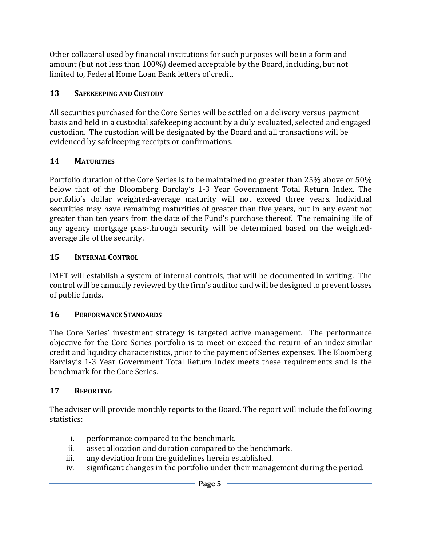Other collateral used by financial institutions for such purposes will be in a form and amount (but not less than 100%) deemed acceptable by the Board, including, but not limited to, Federal Home Loan Bank letters of credit.

# **13 SAFEKEEPING AND CUSTODY**

All securities purchased for the Core Series will be settled on a delivery-versus-payment basis and held in a custodial safekeeping account by a duly evaluated, selected and engaged custodian. The custodian will be designated by the Board and all transactions will be evidenced by safekeeping receipts or confirmations.

# **14 MATURITIES**

Portfolio duration of the Core Series is to be maintained no greater than 25% above or 50% below that of the Bloomberg Barclay's 1-3 Year Government Total Return Index. The portfolio's dollar weighted-average maturity will not exceed three years. Individual securities may have remaining maturities of greater than five years, but in any event not greater than ten years from the date of the Fund's purchase thereof. The remaining life of any agency mortgage pass-through security will be determined based on the weightedaverage life of the security.

# **15 INTERNAL CONTROL**

IMET will establish a system of internal controls, that will be documented in writing. The control will be annually reviewed by the firm's auditor and will be designed to prevent losses of public funds.

# **16 PERFORMANCE STANDARDS**

The Core Series' investment strategy is targeted active management. The performance objective for the Core Series portfolio is to meet or exceed the return of an index similar credit and liquidity characteristics, prior to the payment of Series expenses. The Bloomberg Barclay's 1-3 Year Government Total Return Index meets these requirements and is the benchmark for the Core Series.

# **17 REPORTING**

The adviser will provide monthly reports to the Board. The report will include the following statistics:

- i. performance compared to the benchmark.<br>ii. asset allocation and duration compared to
- ii. asset allocation and duration compared to the benchmark.<br>iii. any deviation from the guidelines herein established.
- iii. any deviation from the guidelines herein established.<br>iv. significant changes in the portfolio under their manag
- significant changes in the portfolio under their management during the period.